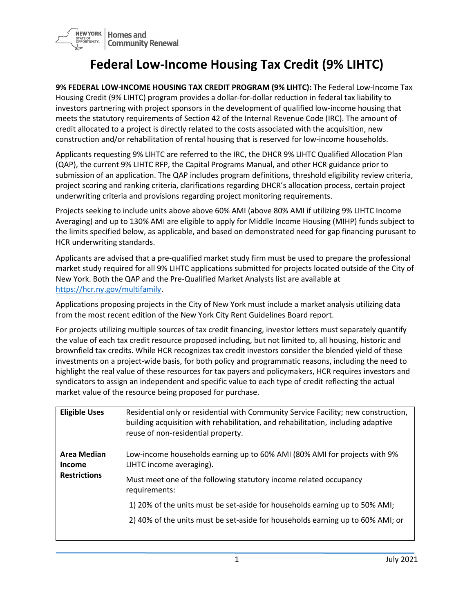

## **Federal Low-Income Housing Tax Credit (9% LIHTC)**

**9% FEDERAL LOW-INCOME HOUSING TAX CREDIT PROGRAM (9% LIHTC):** The Federal Low-Income Tax Housing Credit (9% LIHTC) program provides a dollar-for-dollar reduction in federal tax liability to investors partnering with project sponsors in the development of qualified low-income housing that meets the statutory requirements of Section 42 of the Internal Revenue Code (IRC). The amount of credit allocated to a project is directly related to the costs associated with the acquisition, new construction and/or rehabilitation of rental housing that is reserved for low-income households.

Applicants requesting 9% LIHTC are referred to the IRC, the DHCR 9% LIHTC Qualified Allocation Plan (QAP), the current 9% LIHTC RFP, the Capital Programs Manual, and other HCR guidance prior to submission of an application. The QAP includes program definitions, threshold eligibility review criteria, project scoring and ranking criteria, clarifications regarding DHCR's allocation process, certain project underwriting criteria and provisions regarding project monitoring requirements.

Projects seeking to include units above above 60% AMI (above 80% AMI if utilizing 9% LIHTC Income Averaging) and up to 130% AMI are eligible to apply for Middle Income Housing (MIHP) funds subject to the limits specified below, as applicable, and based on demonstrated need for gap financing purusant to HCR underwriting standards.

Applicants are advised that a pre-qualified market study firm must be used to prepare the professional market study required for all 9% LIHTC applications submitted for projects located outside of the City of New York. Both the QAP and the Pre-Qualified Market Analysts list are available at [https://hcr.ny.gov/multifamily.](https://hcr.ny.gov/multifamily)

Applications proposing projects in the City of New York must include a market analysis utilizing data from the most recent edition of the New York City Rent Guidelines Board report.

For projects utilizing multiple sources of tax credit financing, investor letters must separately quantify the value of each tax credit resource proposed including, but not limited to, all housing, historic and brownfield tax credits. While HCR recognizes tax credit investors consider the blended yield of these investments on a project-wide basis, for both policy and programmatic reasons, including the need to highlight the real value of these resources for tax payers and policymakers, HCR requires investors and syndicators to assign an independent and specific value to each type of credit reflecting the actual market value of the resource being proposed for purchase.

| <b>Eligible Uses</b>                                       | Residential only or residential with Community Service Facility; new construction,<br>building acquisition with rehabilitation, and rehabilitation, including adaptive<br>reuse of non-residential property.                                                                                                                                                 |
|------------------------------------------------------------|--------------------------------------------------------------------------------------------------------------------------------------------------------------------------------------------------------------------------------------------------------------------------------------------------------------------------------------------------------------|
| <b>Area Median</b><br><b>Income</b><br><b>Restrictions</b> | Low-income households earning up to 60% AMI (80% AMI for projects with 9%<br>LIHTC income averaging).<br>Must meet one of the following statutory income related occupancy<br>requirements:<br>1) 20% of the units must be set-aside for households earning up to 50% AMI;<br>2) 40% of the units must be set-aside for households earning up to 60% AMI; or |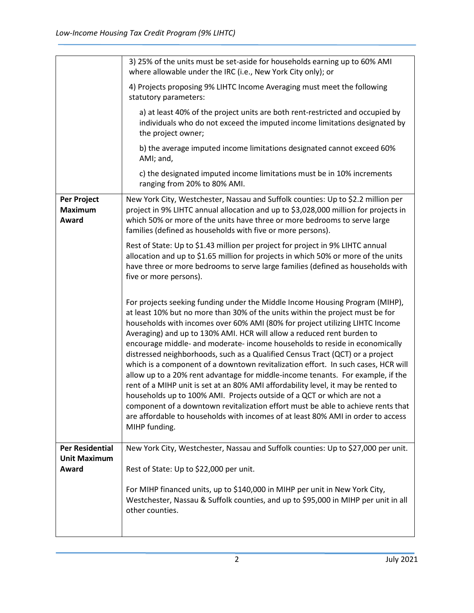|                                               | 3) 25% of the units must be set-aside for households earning up to 60% AMI<br>where allowable under the IRC (i.e., New York City only); or                                                                                                                                                                                                                                                                                                                                                                                                                                                                                                                                                                                                                                                                                                                                                                                                                                                                               |
|-----------------------------------------------|--------------------------------------------------------------------------------------------------------------------------------------------------------------------------------------------------------------------------------------------------------------------------------------------------------------------------------------------------------------------------------------------------------------------------------------------------------------------------------------------------------------------------------------------------------------------------------------------------------------------------------------------------------------------------------------------------------------------------------------------------------------------------------------------------------------------------------------------------------------------------------------------------------------------------------------------------------------------------------------------------------------------------|
|                                               | 4) Projects proposing 9% LIHTC Income Averaging must meet the following<br>statutory parameters:                                                                                                                                                                                                                                                                                                                                                                                                                                                                                                                                                                                                                                                                                                                                                                                                                                                                                                                         |
|                                               | a) at least 40% of the project units are both rent-restricted and occupied by<br>individuals who do not exceed the imputed income limitations designated by<br>the project owner;                                                                                                                                                                                                                                                                                                                                                                                                                                                                                                                                                                                                                                                                                                                                                                                                                                        |
|                                               | b) the average imputed income limitations designated cannot exceed 60%<br>AMI; and,                                                                                                                                                                                                                                                                                                                                                                                                                                                                                                                                                                                                                                                                                                                                                                                                                                                                                                                                      |
|                                               | c) the designated imputed income limitations must be in 10% increments<br>ranging from 20% to 80% AMI.                                                                                                                                                                                                                                                                                                                                                                                                                                                                                                                                                                                                                                                                                                                                                                                                                                                                                                                   |
| Per Project<br><b>Maximum</b><br>Award        | New York City, Westchester, Nassau and Suffolk counties: Up to \$2.2 million per<br>project in 9% LIHTC annual allocation and up to \$3,028,000 million for projects in<br>which 50% or more of the units have three or more bedrooms to serve large<br>families (defined as households with five or more persons).                                                                                                                                                                                                                                                                                                                                                                                                                                                                                                                                                                                                                                                                                                      |
|                                               | Rest of State: Up to \$1.43 million per project for project in 9% LIHTC annual<br>allocation and up to \$1.65 million for projects in which 50% or more of the units<br>have three or more bedrooms to serve large families (defined as households with<br>five or more persons).                                                                                                                                                                                                                                                                                                                                                                                                                                                                                                                                                                                                                                                                                                                                        |
|                                               | For projects seeking funding under the Middle Income Housing Program (MIHP),<br>at least 10% but no more than 30% of the units within the project must be for<br>households with incomes over 60% AMI (80% for project utilizing LIHTC Income<br>Averaging) and up to 130% AMI. HCR will allow a reduced rent burden to<br>encourage middle- and moderate- income households to reside in economically<br>distressed neighborhoods, such as a Qualified Census Tract (QCT) or a project<br>which is a component of a downtown revitalization effort. In such cases, HCR will<br>allow up to a 20% rent advantage for middle-income tenants. For example, if the<br>rent of a MIHP unit is set at an 80% AMI affordability level, it may be rented to<br>households up to 100% AMI. Projects outside of a QCT or which are not a<br>component of a downtown revitalization effort must be able to achieve rents that<br>are affordable to households with incomes of at least 80% AMI in order to access<br>MIHP funding. |
| <b>Per Residential</b><br><b>Unit Maximum</b> | New York City, Westchester, Nassau and Suffolk counties: Up to \$27,000 per unit.                                                                                                                                                                                                                                                                                                                                                                                                                                                                                                                                                                                                                                                                                                                                                                                                                                                                                                                                        |
| Award                                         | Rest of State: Up to \$22,000 per unit.                                                                                                                                                                                                                                                                                                                                                                                                                                                                                                                                                                                                                                                                                                                                                                                                                                                                                                                                                                                  |
|                                               | For MIHP financed units, up to \$140,000 in MIHP per unit in New York City,<br>Westchester, Nassau & Suffolk counties, and up to \$95,000 in MIHP per unit in all<br>other counties.                                                                                                                                                                                                                                                                                                                                                                                                                                                                                                                                                                                                                                                                                                                                                                                                                                     |
|                                               |                                                                                                                                                                                                                                                                                                                                                                                                                                                                                                                                                                                                                                                                                                                                                                                                                                                                                                                                                                                                                          |